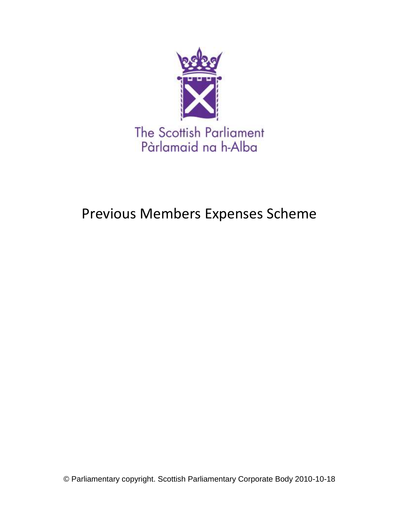

# Previous Members Expenses Scheme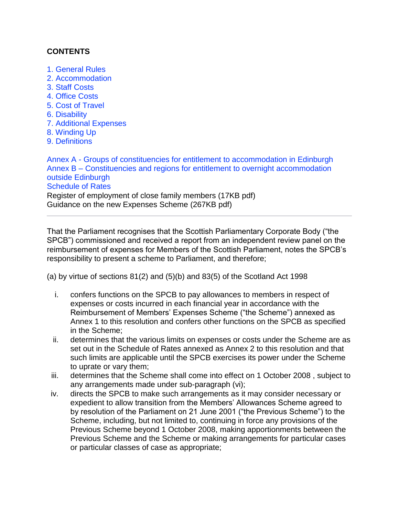## **CONTENTS**

- [1. General Rules](#page-3-0)
- [2. Accommodation](#page-3-1)
- [3. Staff Costs](#page-3-2)
- [4. Office Costs](#page-3-3)
- [5. Cost of Travel](#page-4-0)
- [6. Disability](#page-4-1)
- [7. Additional Expenses](#page-4-2)
- [8. Winding Up](#page-4-3)
- [9. Definitions](#page-4-4)

Annex A - [Groups of constituencies for entitlement to accommodation in Edinburgh](#page-27-0) Annex B – [Constituencies and regions for entitlement to overnight accommodation](#page-28-0)  [outside Edinburgh](#page-28-0) [Schedule of Rates](#page-29-0) Register of employment of close family members (17KB pdf[\)](http://www.scottish.parliament.uk/msp/MSPAllowances/indexPrev09.htm#rates) Guidance on the new Expenses Scheme (267KB pdf)

That the Parliament recognises that the Scottish Parliamentary Corporate Body ("the SPCB") commissioned and received a report from an independent review panel on the reimbursement of expenses for Members of the Scottish Parliament, notes the SPCB's responsibility to present a scheme to Parliament, and therefore;

(a) by virtue of sections 81(2) and (5)(b) and 83(5) of the Scotland Act 1998

- i. confers functions on the SPCB to pay allowances to members in respect of expenses or costs incurred in each financial year in accordance with the Reimbursement of Members' Expenses Scheme ("the Scheme") annexed as Annex 1 to this resolution and confers other functions on the SPCB as specified in the Scheme;
- ii. determines that the various limits on expenses or costs under the Scheme are as set out in the Schedule of Rates annexed as Annex 2 to this resolution and that such limits are applicable until the SPCB exercises its power under the Scheme to uprate or vary them;
- iii. determines that the Scheme shall come into effect on 1 October 2008 , subject to any arrangements made under sub-paragraph (vi);
- iv. directs the SPCB to make such arrangements as it may consider necessary or expedient to allow transition from the Members' Allowances Scheme agreed to by resolution of the Parliament on 21 June 2001 ("the Previous Scheme") to the Scheme, including, but not limited to, continuing in force any provisions of the Previous Scheme beyond 1 October 2008, making apportionments between the Previous Scheme and the Scheme or making arrangements for particular cases or particular classes of case as appropriate;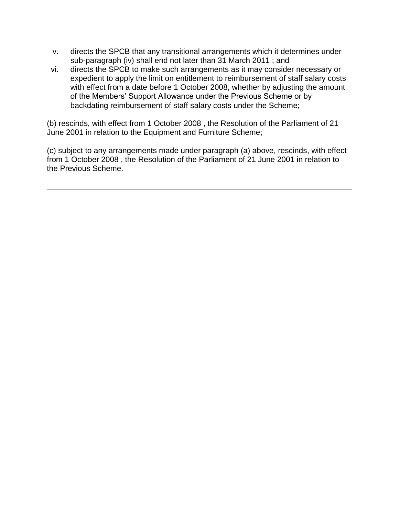- v. directs the SPCB that any transitional arrangements which it determines under sub-paragraph (iv) shall end not later than 31 March 2011 ; and
- vi. directs the SPCB to make such arrangements as it may consider necessary or expedient to apply the limit on entitlement to reimbursement of staff salary costs with effect from a date before 1 October 2008, whether by adjusting the amount of the Members' Support Allowance under the Previous Scheme or by backdating reimbursement of staff salary costs under the Scheme;

(b) rescinds, with effect from 1 October 2008 , the Resolution of the Parliament of 21 June 2001 in relation to the Equipment and Furniture Scheme;

(c) subject to any arrangements made under paragraph (a) above, rescinds, with effect from 1 October 2008 , the Resolution of the Parliament of 21 June 2001 in relation to the Previous Scheme.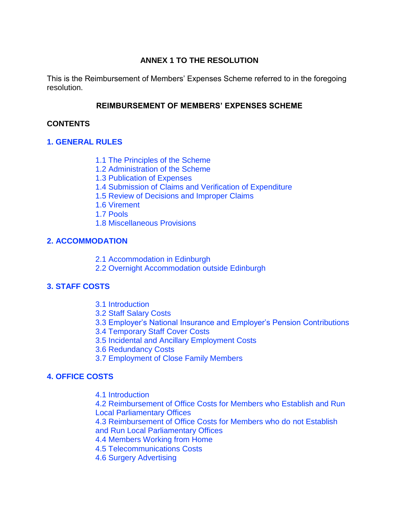## **ANNEX 1 TO THE RESOLUTION**

This is the Reimbursement of Members' Expenses Scheme referred to in the foregoing resolution.

## **REIMBURSEMENT OF MEMBERS' EXPENSES SCHEME**

## **CONTENTS**

## <span id="page-3-0"></span>**[1. GENERAL RULES](#page-4-5)**

- [1.1 The Principles of the](#page-5-0) Scheme
- [1.2 Administration of the Scheme](#page-6-0)
- [1.3 Publication of Expenses](#page-7-0)
- [1.4 Submission of Claims and Verification of Expenditure](#page-7-1)
- [1.5 Review of Decisions and Improper Claims](#page-8-0)
- [1.6 Virement](#page-8-1)
- [1.7 Pools](#page-9-0)
- [1.8 Miscellaneous Provisions](#page-9-1)

## <span id="page-3-1"></span>**[2. ACCOMMODATION](#page-9-2)**

- [2.1 Accommodation in Edinburgh](#page-10-0)
- [2.2 Overnight Accommodation outside Edinburgh](#page-11-0)

## <span id="page-3-2"></span>**[3. STAFF COSTS](#page-12-0)**

- [3.1 Introduction](#page-12-1)
- [3.2 Staff Salary Costs](#page-12-2)
- [3.3 Employer's National Insurance and Employer's Pension Contributions](#page-13-0)
- [3.4 Temporary Staff Cover Costs](#page-13-1)
- [3.5 Incidental and Ancillary Employment Costs](#page-14-0)
- [3.6 Redundancy Costs](#page-14-1)
- [3.7 Employment of Close Family Members](#page-15-0)

# <span id="page-3-3"></span>**[4. OFFICE COSTS](#page-3-3)**

[4.1 Introduction](#page-16-0)

[4.2 Reimbursement of Office Costs for Members who Establish and Run](#page-16-1)  [Local Parliamentary Offices](#page-16-1)

[4.3 Reimbursement of Office Costs for Members who do](#page-18-0) not Establish [and Run Local Parliamentary Offices](#page-18-0)

- [4.4 Members Working from Home](#page-18-1)
- [4.5 Telecommunications Costs](#page-19-0)
- [4.6 Surgery Advertising](#page-19-1)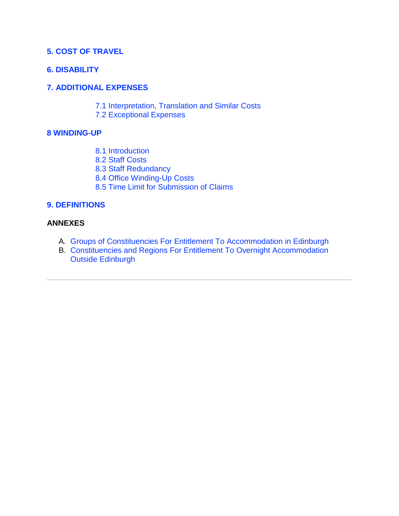#### <span id="page-4-0"></span>**[5. COST OF TRAVEL](#page-19-2)**

#### <span id="page-4-1"></span>**[6. DISABILITY](#page-4-1)**

#### <span id="page-4-2"></span>**[7. ADDITIONAL EXPENSES](#page-21-0)**

- [7.1 Interpretation, Translation and Similar Costs](#page-22-0)
- [7.2 Exceptional Expenses](#page-22-1)

#### <span id="page-4-3"></span>**[8 WINDING-UP](#page-22-2)**

- [8.1 Introduction](#page-23-0)
- [8.2 Staff Costs](#page-23-1)
- [8.3 Staff Redundancy](#page-23-2)
- [8.4 Office Winding-Up Costs](#page-24-0)
- [8.5 Time Limit for Submission of Claims](#page-24-1)

#### <span id="page-4-4"></span>**[9. DEFINITIONS](#page-24-2)**

#### **ANNEXES**

- A. [Groups of Constituencies For Entitlement To Accommodation in Edinburgh](#page-27-0)
- <span id="page-4-5"></span>B. [Constituencies and Regions For Entitlement To Overnight Accommodation](#page-28-0)  [Outside Edinburgh](#page-28-0)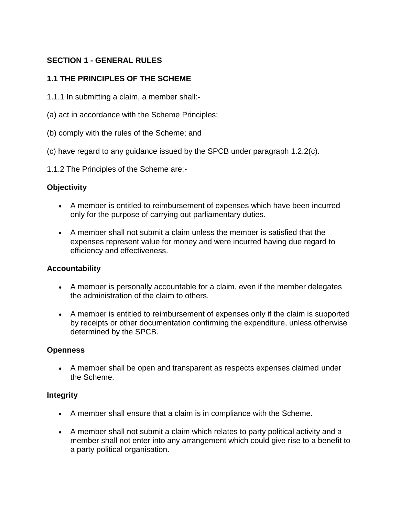# **SECTION 1 - GENERAL RULES**

## <span id="page-5-0"></span>**1.1 THE PRINCIPLES OF THE SCHEME**

- 1.1.1 In submitting a claim, a member shall:-
- (a) act in accordance with the Scheme Principles;
- (b) comply with the rules of the Scheme; and
- (c) have regard to any guidance issued by the SPCB under paragraph 1.2.2(c).
- 1.1.2 The Principles of the Scheme are:-

#### **Objectivity**

- A member is entitled to reimbursement of expenses which have been incurred only for the purpose of carrying out parliamentary duties.
- A member shall not submit a claim unless the member is satisfied that the expenses represent value for money and were incurred having due regard to efficiency and effectiveness.

#### **Accountability**

- A member is personally accountable for a claim, even if the member delegates the administration of the claim to others.
- A member is entitled to reimbursement of expenses only if the claim is supported by receipts or other documentation confirming the expenditure, unless otherwise determined by the SPCB.

#### **Openness**

 A member shall be open and transparent as respects expenses claimed under the Scheme.

#### **Integrity**

- A member shall ensure that a claim is in compliance with the Scheme.
- A member shall not submit a claim which relates to party political activity and a member shall not enter into any arrangement which could give rise to a benefit to a party political organisation.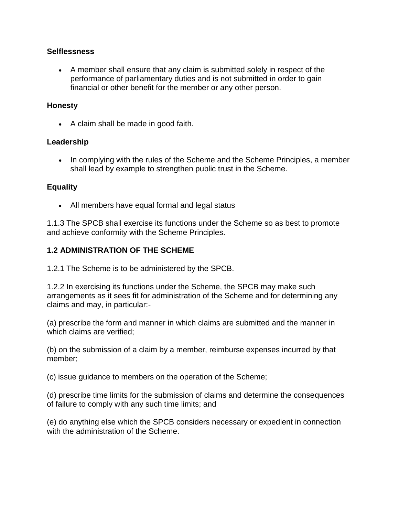#### **Selflessness**

 A member shall ensure that any claim is submitted solely in respect of the performance of parliamentary duties and is not submitted in order to gain financial or other benefit for the member or any other person.

#### **Honesty**

• A claim shall be made in good faith.

#### **Leadership**

• In complying with the rules of the Scheme and the Scheme Principles, a member shall lead by example to strengthen public trust in the Scheme.

#### **Equality**

All members have equal formal and legal status

1.1.3 The SPCB shall exercise its functions under the Scheme so as best to promote and achieve conformity with the Scheme Principles.

#### <span id="page-6-0"></span>**1.2 ADMINISTRATION OF THE SCHEME**

1.2.1 The Scheme is to be administered by the SPCB.

1.2.2 In exercising its functions under the Scheme, the SPCB may make such arrangements as it sees fit for administration of the Scheme and for determining any claims and may, in particular:-

(a) prescribe the form and manner in which claims are submitted and the manner in which claims are verified;

(b) on the submission of a claim by a member, reimburse expenses incurred by that member;

(c) issue guidance to members on the operation of the Scheme;

(d) prescribe time limits for the submission of claims and determine the consequences of failure to comply with any such time limits; and

(e) do anything else which the SPCB considers necessary or expedient in connection with the administration of the Scheme.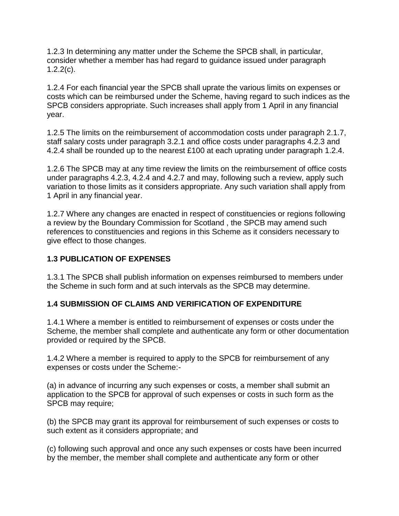1.2.3 In determining any matter under the Scheme the SPCB shall, in particular, consider whether a member has had regard to guidance issued under paragraph  $1.2.2(c)$ .

1.2.4 For each financial year the SPCB shall uprate the various limits on expenses or costs which can be reimbursed under the Scheme, having regard to such indices as the SPCB considers appropriate. Such increases shall apply from 1 April in any financial year.

1.2.5 The limits on the reimbursement of accommodation costs under paragraph 2.1.7, staff salary costs under paragraph 3.2.1 and office costs under paragraphs 4.2.3 and 4.2.4 shall be rounded up to the nearest £100 at each uprating under paragraph 1.2.4.

1.2.6 The SPCB may at any time review the limits on the reimbursement of office costs under paragraphs 4.2.3, 4.2.4 and 4.2.7 and may, following such a review, apply such variation to those limits as it considers appropriate. Any such variation shall apply from 1 April in any financial year.

1.2.7 Where any changes are enacted in respect of constituencies or regions following a review by the Boundary Commission for Scotland , the SPCB may amend such references to constituencies and regions in this Scheme as it considers necessary to give effect to those changes.

# <span id="page-7-0"></span>**1.3 PUBLICATION OF EXPENSES**

1.3.1 The SPCB shall publish information on expenses reimbursed to members under the Scheme in such form and at such intervals as the SPCB may determine.

## <span id="page-7-1"></span>**1.4 SUBMISSION OF CLAIMS AND VERIFICATION OF EXPENDITURE**

1.4.1 Where a member is entitled to reimbursement of expenses or costs under the Scheme, the member shall complete and authenticate any form or other documentation provided or required by the SPCB.

1.4.2 Where a member is required to apply to the SPCB for reimbursement of any expenses or costs under the Scheme:-

(a) in advance of incurring any such expenses or costs, a member shall submit an application to the SPCB for approval of such expenses or costs in such form as the SPCB may require;

(b) the SPCB may grant its approval for reimbursement of such expenses or costs to such extent as it considers appropriate; and

(c) following such approval and once any such expenses or costs have been incurred by the member, the member shall complete and authenticate any form or other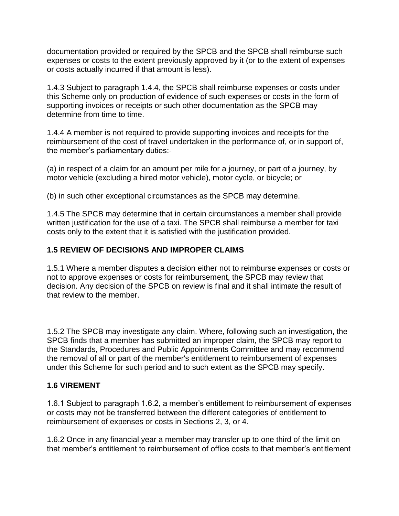documentation provided or required by the SPCB and the SPCB shall reimburse such expenses or costs to the extent previously approved by it (or to the extent of expenses or costs actually incurred if that amount is less).

1.4.3 Subject to paragraph 1.4.4, the SPCB shall reimburse expenses or costs under this Scheme only on production of evidence of such expenses or costs in the form of supporting invoices or receipts or such other documentation as the SPCB may determine from time to time.

1.4.4 A member is not required to provide supporting invoices and receipts for the reimbursement of the cost of travel undertaken in the performance of, or in support of, the member's parliamentary duties:-

(a) in respect of a claim for an amount per mile for a journey, or part of a journey, by motor vehicle (excluding a hired motor vehicle), motor cycle, or bicycle; or

(b) in such other exceptional circumstances as the SPCB may determine.

1.4.5 The SPCB may determine that in certain circumstances a member shall provide written justification for the use of a taxi. The SPCB shall reimburse a member for taxi costs only to the extent that it is satisfied with the justification provided.

## <span id="page-8-0"></span>**1.5 REVIEW OF DECISIONS AND IMPROPER CLAIMS**

1.5.1 Where a member disputes a decision either not to reimburse expenses or costs or not to approve expenses or costs for reimbursement, the SPCB may review that decision. Any decision of the SPCB on review is final and it shall intimate the result of that review to the member.

1.5.2 The SPCB may investigate any claim. Where, following such an investigation, the SPCB finds that a member has submitted an improper claim, the SPCB may report to the Standards, Procedures and Public Appointments Committee and may recommend the removal of all or part of the member's entitlement to reimbursement of expenses under this Scheme for such period and to such extent as the SPCB may specify.

## <span id="page-8-1"></span>**1.6 VIREMENT**

1.6.1 Subject to paragraph 1.6.2, a member's entitlement to reimbursement of expenses or costs may not be transferred between the different categories of entitlement to reimbursement of expenses or costs in Sections 2, 3, or 4.

1.6.2 Once in any financial year a member may transfer up to one third of the limit on that member's entitlement to reimbursement of office costs to that member's entitlement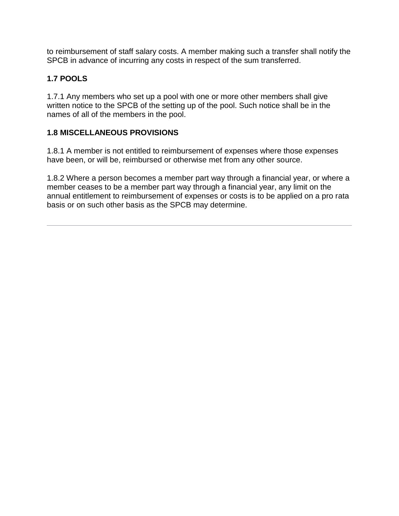to reimbursement of staff salary costs. A member making such a transfer shall notify the SPCB in advance of incurring any costs in respect of the sum transferred.

# <span id="page-9-0"></span>**1.7 POOLS**

1.7.1 Any members who set up a pool with one or more other members shall give written notice to the SPCB of the setting up of the pool. Such notice shall be in the names of all of the members in the pool.

# <span id="page-9-1"></span>**1.8 MISCELLANEOUS PROVISIONS**

1.8.1 A member is not entitled to reimbursement of expenses where those expenses have been, or will be, reimbursed or otherwise met from any other source.

<span id="page-9-2"></span>1.8.2 Where a person becomes a member part way through a financial year, or where a member ceases to be a member part way through a financial year, any limit on the annual entitlement to reimbursement of expenses or costs is to be applied on a pro rata basis or on such other basis as the SPCB may determine.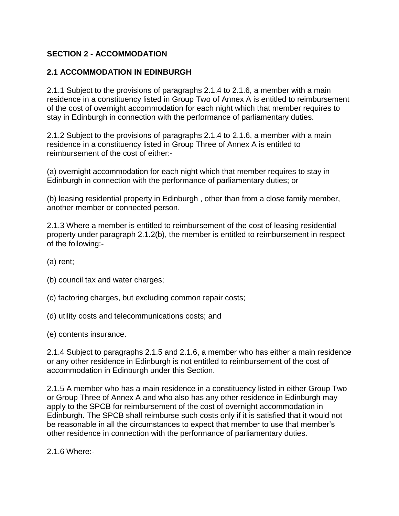# **SECTION 2 - ACCOMMODATION**

#### <span id="page-10-0"></span>**2.1 ACCOMMODATION IN EDINBURGH**

2.1.1 Subject to the provisions of paragraphs 2.1.4 to 2.1.6, a member with a main residence in a constituency listed in Group Two of Annex A is entitled to reimbursement of the cost of overnight accommodation for each night which that member requires to stay in Edinburgh in connection with the performance of parliamentary duties.

2.1.2 Subject to the provisions of paragraphs 2.1.4 to 2.1.6, a member with a main residence in a constituency listed in Group Three of Annex A is entitled to reimbursement of the cost of either:-

(a) overnight accommodation for each night which that member requires to stay in Edinburgh in connection with the performance of parliamentary duties; or

(b) leasing residential property in Edinburgh , other than from a close family member, another member or connected person.

2.1.3 Where a member is entitled to reimbursement of the cost of leasing residential property under paragraph 2.1.2(b), the member is entitled to reimbursement in respect of the following:-

(a) rent;

(b) council tax and water charges;

- (c) factoring charges, but excluding common repair costs;
- (d) utility costs and telecommunications costs; and

(e) contents insurance.

2.1.4 Subject to paragraphs 2.1.5 and 2.1.6, a member who has either a main residence or any other residence in Edinburgh is not entitled to reimbursement of the cost of accommodation in Edinburgh under this Section.

2.1.5 A member who has a main residence in a constituency listed in either Group Two or Group Three of Annex A and who also has any other residence in Edinburgh may apply to the SPCB for reimbursement of the cost of overnight accommodation in Edinburgh. The SPCB shall reimburse such costs only if it is satisfied that it would not be reasonable in all the circumstances to expect that member to use that member's other residence in connection with the performance of parliamentary duties.

2.1.6 Where:-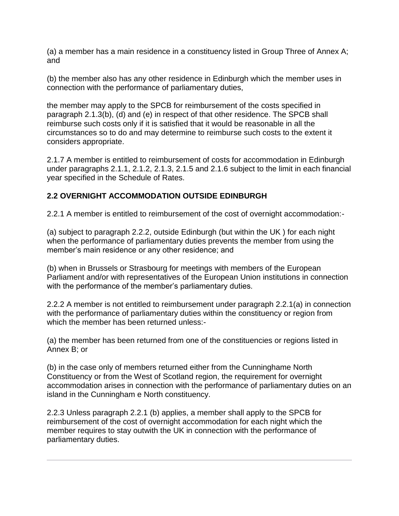(a) a member has a main residence in a constituency listed in Group Three of Annex A; and

(b) the member also has any other residence in Edinburgh which the member uses in connection with the performance of parliamentary duties,

the member may apply to the SPCB for reimbursement of the costs specified in paragraph 2.1.3(b), (d) and (e) in respect of that other residence. The SPCB shall reimburse such costs only if it is satisfied that it would be reasonable in all the circumstances so to do and may determine to reimburse such costs to the extent it considers appropriate.

2.1.7 A member is entitled to reimbursement of costs for accommodation in Edinburgh under paragraphs 2.1.1, 2.1.2, 2.1.3, 2.1.5 and 2.1.6 subject to the limit in each financial year specified in the Schedule of Rates.

## <span id="page-11-0"></span>**2.2 OVERNIGHT ACCOMMODATION OUTSIDE EDINBURGH**

2.2.1 A member is entitled to reimbursement of the cost of overnight accommodation:-

(a) subject to paragraph 2.2.2, outside Edinburgh (but within the UK ) for each night when the performance of parliamentary duties prevents the member from using the member's main residence or any other residence; and

(b) when in Brussels or Strasbourg for meetings with members of the European Parliament and/or with representatives of the European Union institutions in connection with the performance of the member's parliamentary duties.

2.2.2 A member is not entitled to reimbursement under paragraph 2.2.1(a) in connection with the performance of parliamentary duties within the constituency or region from which the member has been returned unless:-

(a) the member has been returned from one of the constituencies or regions listed in Annex B; or

(b) in the case only of members returned either from the Cunninghame North Constituency or from the West of Scotland region, the requirement for overnight accommodation arises in connection with the performance of parliamentary duties on an island in the Cunningham e North constituency.

2.2.3 Unless paragraph 2.2.1 (b) applies, a member shall apply to the SPCB for reimbursement of the cost of overnight accommodation for each night which the member requires to stay outwith the UK in connection with the performance of parliamentary duties.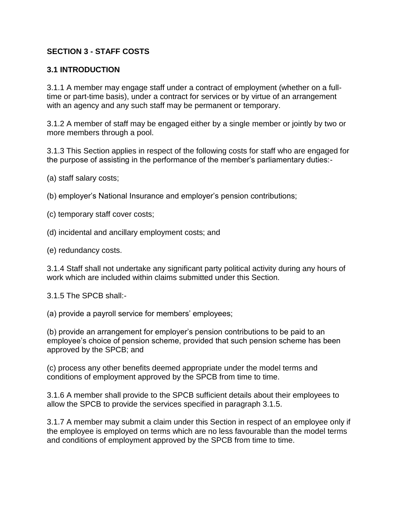## <span id="page-12-0"></span>**SECTION 3 - STAFF COSTS**

#### <span id="page-12-1"></span>**3.1 INTRODUCTION**

3.1.1 A member may engage staff under a contract of employment (whether on a fulltime or part-time basis), under a contract for services or by virtue of an arrangement with an agency and any such staff may be permanent or temporary.

3.1.2 A member of staff may be engaged either by a single member or jointly by two or more members through a pool.

3.1.3 This Section applies in respect of the following costs for staff who are engaged for the purpose of assisting in the performance of the member's parliamentary duties:-

(a) staff salary costs;

(b) employer's National Insurance and employer's pension contributions;

(c) temporary staff cover costs;

(d) incidental and ancillary employment costs; and

(e) redundancy costs.

3.1.4 Staff shall not undertake any significant party political activity during any hours of work which are included within claims submitted under this Section.

3.1.5 The SPCB shall:-

(a) provide a payroll service for members' employees;

(b) provide an arrangement for employer's pension contributions to be paid to an employee's choice of pension scheme, provided that such pension scheme has been approved by the SPCB; and

(c) process any other benefits deemed appropriate under the model terms and conditions of employment approved by the SPCB from time to time.

3.1.6 A member shall provide to the SPCB sufficient details about their employees to allow the SPCB to provide the services specified in paragraph 3.1.5.

<span id="page-12-2"></span>3.1.7 A member may submit a claim under this Section in respect of an employee only if the employee is employed on terms which are no less favourable than the model terms and conditions of employment approved by the SPCB from time to time.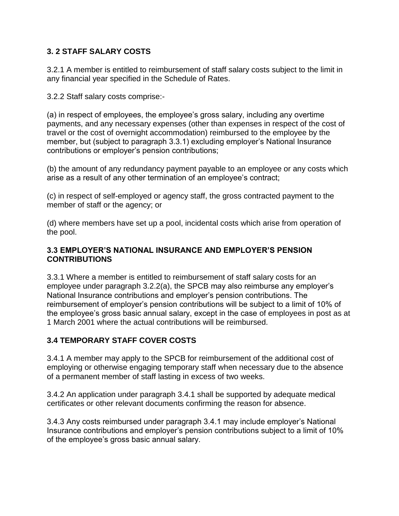## **3. 2 STAFF SALARY COSTS**

3.2.1 A member is entitled to reimbursement of staff salary costs subject to the limit in any financial year specified in the Schedule of Rates.

3.2.2 Staff salary costs comprise:-

(a) in respect of employees, the employee's gross salary, including any overtime payments, and any necessary expenses (other than expenses in respect of the cost of travel or the cost of overnight accommodation) reimbursed to the employee by the member, but (subject to paragraph 3.3.1) excluding employer's National Insurance contributions or employer's pension contributions;

(b) the amount of any redundancy payment payable to an employee or any costs which arise as a result of any other termination of an employee's contract;

(c) in respect of self-employed or agency staff, the gross contracted payment to the member of staff or the agency; or

(d) where members have set up a pool, incidental costs which arise from operation of the pool.

#### <span id="page-13-0"></span>**3.3 EMPLOYER'S NATIONAL INSURANCE AND EMPLOYER'S PENSION CONTRIBUTIONS**

3.3.1 Where a member is entitled to reimbursement of staff salary costs for an employee under paragraph 3.2.2(a), the SPCB may also reimburse any employer's National Insurance contributions and employer's pension contributions. The reimbursement of employer's pension contributions will be subject to a limit of 10% of the employee's gross basic annual salary, except in the case of employees in post as at 1 March 2001 where the actual contributions will be reimbursed.

## <span id="page-13-1"></span>**3.4 TEMPORARY STAFF COVER COSTS**

3.4.1 A member may apply to the SPCB for reimbursement of the additional cost of employing or otherwise engaging temporary staff when necessary due to the absence of a permanent member of staff lasting in excess of two weeks.

3.4.2 An application under paragraph 3.4.1 shall be supported by adequate medical certificates or other relevant documents confirming the reason for absence.

3.4.3 Any costs reimbursed under paragraph 3.4.1 may include employer's National Insurance contributions and employer's pension contributions subject to a limit of 10% of the employee's gross basic annual salary.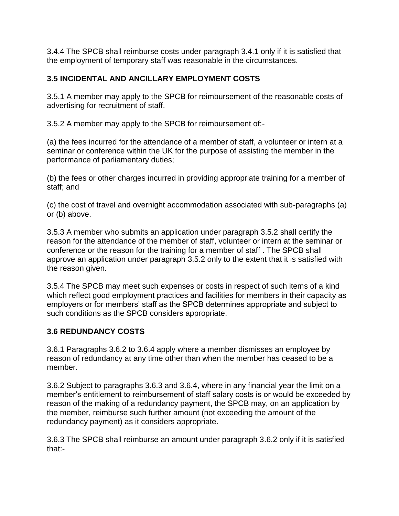3.4.4 The SPCB shall reimburse costs under paragraph 3.4.1 only if it is satisfied that the employment of temporary staff was reasonable in the circumstances.

## <span id="page-14-0"></span>**3.5 INCIDENTAL AND ANCILLARY EMPLOYMENT COSTS**

3.5.1 A member may apply to the SPCB for reimbursement of the reasonable costs of advertising for recruitment of staff.

3.5.2 A member may apply to the SPCB for reimbursement of:-

(a) the fees incurred for the attendance of a member of staff, a volunteer or intern at a seminar or conference within the UK for the purpose of assisting the member in the performance of parliamentary duties;

(b) the fees or other charges incurred in providing appropriate training for a member of staff; and

(c) the cost of travel and overnight accommodation associated with sub-paragraphs (a) or (b) above.

3.5.3 A member who submits an application under paragraph 3.5.2 shall certify the reason for the attendance of the member of staff, volunteer or intern at the seminar or conference or the reason for the training for a member of staff . The SPCB shall approve an application under paragraph 3.5.2 only to the extent that it is satisfied with the reason given.

3.5.4 The SPCB may meet such expenses or costs in respect of such items of a kind which reflect good employment practices and facilities for members in their capacity as employers or for members' staff as the SPCB determines appropriate and subject to such conditions as the SPCB considers appropriate.

## <span id="page-14-1"></span>**3.6 REDUNDANCY COSTS**

3.6.1 Paragraphs 3.6.2 to 3.6.4 apply where a member dismisses an employee by reason of redundancy at any time other than when the member has ceased to be a member.

3.6.2 Subject to paragraphs 3.6.3 and 3.6.4, where in any financial year the limit on a member's entitlement to reimbursement of staff salary costs is or would be exceeded by reason of the making of a redundancy payment, the SPCB may, on an application by the member, reimburse such further amount (not exceeding the amount of the redundancy payment) as it considers appropriate.

3.6.3 The SPCB shall reimburse an amount under paragraph 3.6.2 only if it is satisfied that:-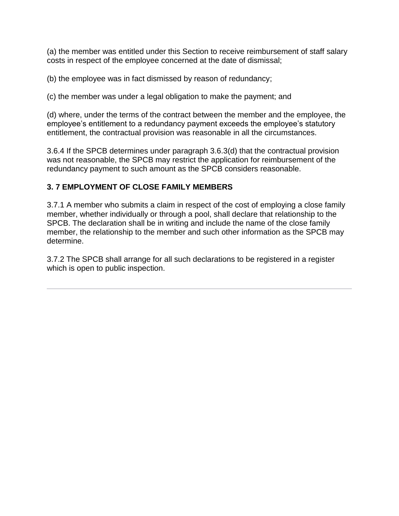(a) the member was entitled under this Section to receive reimbursement of staff salary costs in respect of the employee concerned at the date of dismissal;

(b) the employee was in fact dismissed by reason of redundancy;

(c) the member was under a legal obligation to make the payment; and

(d) where, under the terms of the contract between the member and the employee, the employee's entitlement to a redundancy payment exceeds the employee's statutory entitlement, the contractual provision was reasonable in all the circumstances.

3.6.4 If the SPCB determines under paragraph 3.6.3(d) that the contractual provision was not reasonable, the SPCB may restrict the application for reimbursement of the redundancy payment to such amount as the SPCB considers reasonable.

## <span id="page-15-0"></span>**3. 7 EMPLOYMENT OF CLOSE FAMILY MEMBERS**

3.7.1 A member who submits a claim in respect of the cost of employing a close family member, whether individually or through a pool, shall declare that relationship to the SPCB. The declaration shall be in writing and include the name of the close family member, the relationship to the member and such other information as the SPCB may determine.

3.7.2 The SPCB shall arrange for all such declarations to be registered in a register which is open to public inspection.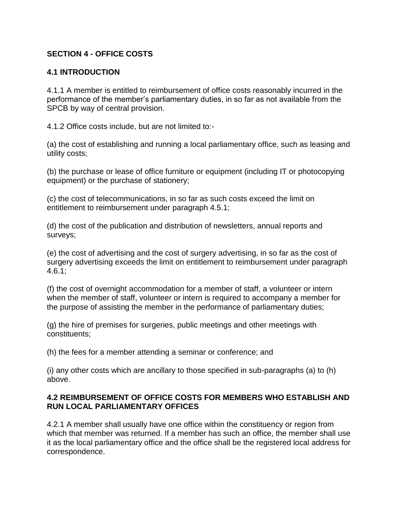## **SECTION 4 - OFFICE COSTS**

#### <span id="page-16-0"></span>**4.1 INTRODUCTION**

4.1.1 A member is entitled to reimbursement of office costs reasonably incurred in the performance of the member's parliamentary duties, in so far as not available from the SPCB by way of central provision.

4.1.2 Office costs include, but are not limited to:-

(a) the cost of establishing and running a local parliamentary office, such as leasing and utility costs;

(b) the purchase or lease of office furniture or equipment (including IT or photocopying equipment) or the purchase of stationery;

(c) the cost of telecommunications, in so far as such costs exceed the limit on entitlement to reimbursement under paragraph 4.5.1;

(d) the cost of the publication and distribution of newsletters, annual reports and surveys;

(e) the cost of advertising and the cost of surgery advertising, in so far as the cost of surgery advertising exceeds the limit on entitlement to reimbursement under paragraph 4.6.1;

(f) the cost of overnight accommodation for a member of staff, a volunteer or intern when the member of staff, volunteer or intern is required to accompany a member for the purpose of assisting the member in the performance of parliamentary duties;

(g) the hire of premises for surgeries, public meetings and other meetings with constituents;

(h) the fees for a member attending a seminar or conference; and

(i) any other costs which are ancillary to those specified in sub-paragraphs (a) to (h) above.

#### <span id="page-16-1"></span>**4.2 REIMBURSEMENT OF OFFICE COSTS FOR MEMBERS WHO ESTABLISH AND RUN LOCAL PARLIAMENTARY OFFICES**

4.2.1 A member shall usually have one office within the constituency or region from which that member was returned. If a member has such an office, the member shall use it as the local parliamentary office and the office shall be the registered local address for correspondence.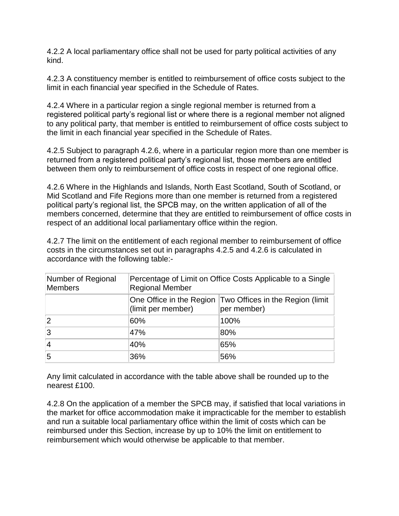4.2.2 A local parliamentary office shall not be used for party political activities of any kind.

4.2.3 A constituency member is entitled to reimbursement of office costs subject to the limit in each financial year specified in the Schedule of Rates.

4.2.4 Where in a particular region a single regional member is returned from a registered political party's regional list or where there is a regional member not aligned to any political party, that member is entitled to reimbursement of office costs subject to the limit in each financial year specified in the Schedule of Rates.

4.2.5 Subject to paragraph 4.2.6, where in a particular region more than one member is returned from a registered political party's regional list, those members are entitled between them only to reimbursement of office costs in respect of one regional office.

4.2.6 Where in the Highlands and Islands, North East Scotland, South of Scotland, or Mid Scotland and Fife Regions more than one member is returned from a registered political party's regional list, the SPCB may, on the written application of all of the members concerned, determine that they are entitled to reimbursement of office costs in respect of an additional local parliamentary office within the region.

4.2.7 The limit on the entitlement of each regional member to reimbursement of office costs in the circumstances set out in paragraphs 4.2.5 and 4.2.6 is calculated in accordance with the following table:-

| Number of Regional<br>Members | Percentage of Limit on Office Costs Applicable to a Single<br><b>Regional Member</b> |                                                                          |  |
|-------------------------------|--------------------------------------------------------------------------------------|--------------------------------------------------------------------------|--|
|                               | (limit per member)                                                                   | One Office in the Region Two Offices in the Region (limit<br>per member) |  |
| 2                             | 60%                                                                                  | 100%                                                                     |  |
| 3                             | 47%                                                                                  | 80%                                                                      |  |
| $\vert$ 4                     | 40%                                                                                  | 65%                                                                      |  |
| 5                             | 36%                                                                                  | 56%                                                                      |  |

Any limit calculated in accordance with the table above shall be rounded up to the nearest £100.

4.2.8 On the application of a member the SPCB may, if satisfied that local variations in the market for office accommodation make it impracticable for the member to establish and run a suitable local parliamentary office within the limit of costs which can be reimbursed under this Section, increase by up to 10% the limit on entitlement to reimbursement which would otherwise be applicable to that member.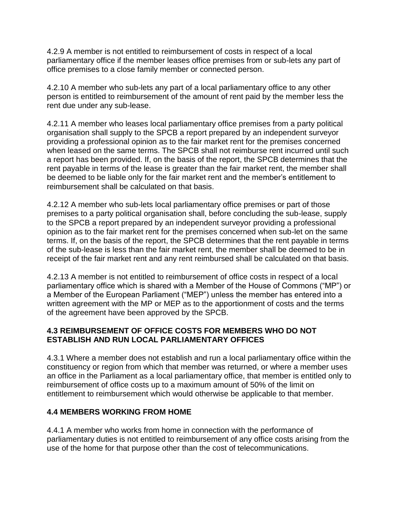4.2.9 A member is not entitled to reimbursement of costs in respect of a local parliamentary office if the member leases office premises from or sub-lets any part of office premises to a close family member or connected person.

4.2.10 A member who sub-lets any part of a local parliamentary office to any other person is entitled to reimbursement of the amount of rent paid by the member less the rent due under any sub-lease.

4.2.11 A member who leases local parliamentary office premises from a party political organisation shall supply to the SPCB a report prepared by an independent surveyor providing a professional opinion as to the fair market rent for the premises concerned when leased on the same terms. The SPCB shall not reimburse rent incurred until such a report has been provided. If, on the basis of the report, the SPCB determines that the rent payable in terms of the lease is greater than the fair market rent, the member shall be deemed to be liable only for the fair market rent and the member's entitlement to reimbursement shall be calculated on that basis.

4.2.12 A member who sub-lets local parliamentary office premises or part of those premises to a party political organisation shall, before concluding the sub-lease, supply to the SPCB a report prepared by an independent surveyor providing a professional opinion as to the fair market rent for the premises concerned when sub-let on the same terms. If, on the basis of the report, the SPCB determines that the rent payable in terms of the sub-lease is less than the fair market rent, the member shall be deemed to be in receipt of the fair market rent and any rent reimbursed shall be calculated on that basis.

4.2.13 A member is not entitled to reimbursement of office costs in respect of a local parliamentary office which is shared with a Member of the House of Commons ("MP") or a Member of the European Parliament ("MEP") unless the member has entered into a written agreement with the MP or MEP as to the apportionment of costs and the terms of the agreement have been approved by the SPCB.

## <span id="page-18-0"></span>**4.3 REIMBURSEMENT OF OFFICE COSTS FOR MEMBERS WHO DO NOT ESTABLISH AND RUN LOCAL PARLIAMENTARY OFFICES**

4.3.1 Where a member does not establish and run a local parliamentary office within the constituency or region from which that member was returned, or where a member uses an office in the Parliament as a local parliamentary office, that member is entitled only to reimbursement of office costs up to a maximum amount of 50% of the limit on entitlement to reimbursement which would otherwise be applicable to that member.

## <span id="page-18-1"></span>**4.4 MEMBERS WORKING FROM HOME**

4.4.1 A member who works from home in connection with the performance of parliamentary duties is not entitled to reimbursement of any office costs arising from the use of the home for that purpose other than the cost of telecommunications.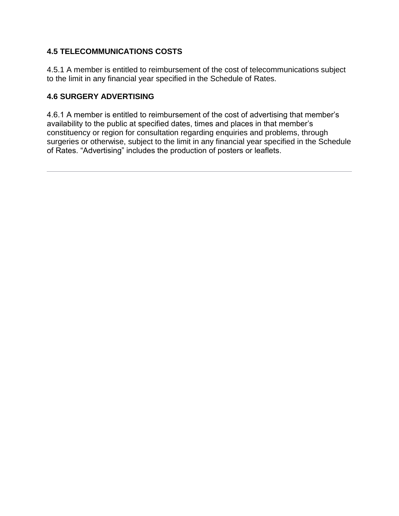## <span id="page-19-0"></span>**4.5 TELECOMMUNICATIONS COSTS**

4.5.1 A member is entitled to reimbursement of the cost of telecommunications subject to the limit in any financial year specified in the Schedule of Rates.

# <span id="page-19-1"></span>**4.6 SURGERY ADVERTISING**

<span id="page-19-2"></span>4.6.1 A member is entitled to reimbursement of the cost of advertising that member's availability to the public at specified dates, times and places in that member's constituency or region for consultation regarding enquiries and problems, through surgeries or otherwise, subject to the limit in any financial year specified in the Schedule of Rates. "Advertising" includes the production of posters or leaflets.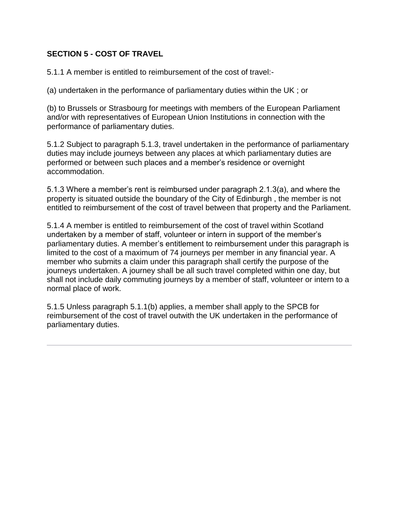## **SECTION 5 - COST OF TRAVEL**

5.1.1 A member is entitled to reimbursement of the cost of travel:-

(a) undertaken in the performance of parliamentary duties within the UK ; or

(b) to Brussels or Strasbourg for meetings with members of the European Parliament and/or with representatives of European Union Institutions in connection with the performance of parliamentary duties.

5.1.2 Subject to paragraph 5.1.3, travel undertaken in the performance of parliamentary duties may include journeys between any places at which parliamentary duties are performed or between such places and a member's residence or overnight accommodation.

5.1.3 Where a member's rent is reimbursed under paragraph 2.1.3(a), and where the property is situated outside the boundary of the City of Edinburgh , the member is not entitled to reimbursement of the cost of travel between that property and the Parliament.

5.1.4 A member is entitled to reimbursement of the cost of travel within Scotland undertaken by a member of staff, volunteer or intern in support of the member's parliamentary duties. A member's entitlement to reimbursement under this paragraph is limited to the cost of a maximum of 74 journeys per member in any financial year. A member who submits a claim under this paragraph shall certify the purpose of the journeys undertaken. A journey shall be all such travel completed within one day, but shall not include daily commuting journeys by a member of staff, volunteer or intern to a normal place of work.

5.1.5 Unless paragraph 5.1.1(b) applies, a member shall apply to the SPCB for reimbursement of the cost of travel outwith the UK undertaken in the performance of parliamentary duties.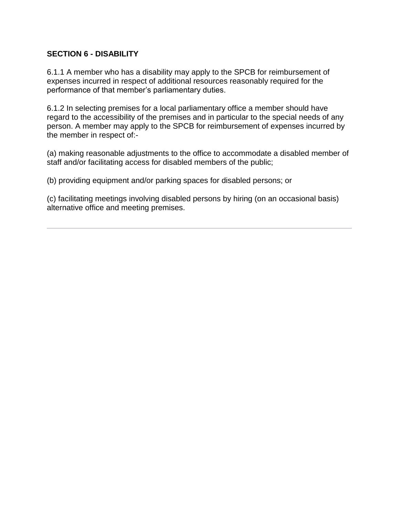#### **SECTION 6 - DISABILITY**

6.1.1 A member who has a disability may apply to the SPCB for reimbursement of expenses incurred in respect of additional resources reasonably required for the performance of that member's parliamentary duties.

6.1.2 In selecting premises for a local parliamentary office a member should have regard to the accessibility of the premises and in particular to the special needs of any person. A member may apply to the SPCB for reimbursement of expenses incurred by the member in respect of:-

(a) making reasonable adjustments to the office to accommodate a disabled member of staff and/or facilitating access for disabled members of the public;

(b) providing equipment and/or parking spaces for disabled persons; or

<span id="page-21-0"></span>(c) facilitating meetings involving disabled persons by hiring (on an occasional basis) alternative office and meeting premises.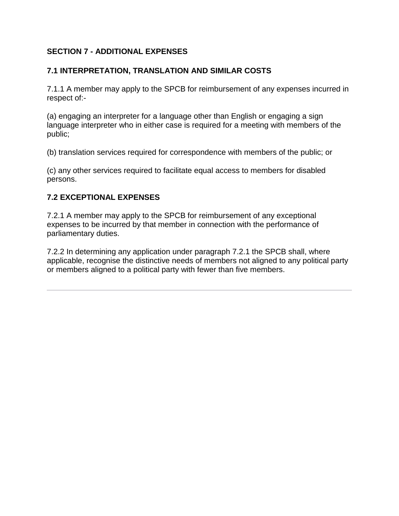## **SECTION 7 - ADDITIONAL EXPENSES**

## <span id="page-22-0"></span>**7.1 INTERPRETATION, TRANSLATION AND SIMILAR COSTS**

7.1.1 A member may apply to the SPCB for reimbursement of any expenses incurred in respect of:-

(a) engaging an interpreter for a language other than English or engaging a sign language interpreter who in either case is required for a meeting with members of the public;

(b) translation services required for correspondence with members of the public; or

(c) any other services required to facilitate equal access to members for disabled persons.

#### <span id="page-22-1"></span>**7.2 EXCEPTIONAL EXPENSES**

7.2.1 A member may apply to the SPCB for reimbursement of any exceptional expenses to be incurred by that member in connection with the performance of parliamentary duties.

<span id="page-22-2"></span>7.2.2 In determining any application under paragraph 7.2.1 the SPCB shall, where applicable, recognise the distinctive needs of members not aligned to any political party or members aligned to a political party with fewer than five members.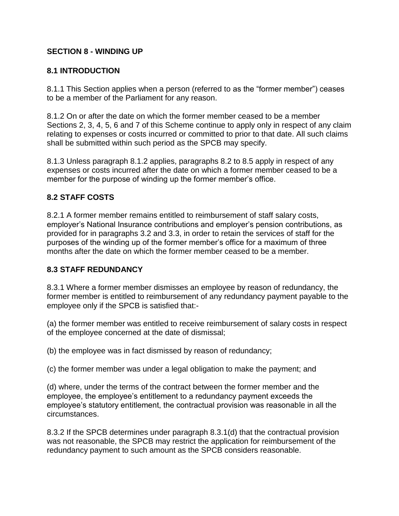## **SECTION 8 - WINDING UP**

## <span id="page-23-0"></span>**8.1 INTRODUCTION**

8.1.1 This Section applies when a person (referred to as the "former member") ceases to be a member of the Parliament for any reason.

8.1.2 On or after the date on which the former member ceased to be a member Sections 2, 3, 4, 5, 6 and 7 of this Scheme continue to apply only in respect of any claim relating to expenses or costs incurred or committed to prior to that date. All such claims shall be submitted within such period as the SPCB may specify.

8.1.3 Unless paragraph 8.1.2 applies, paragraphs 8.2 to 8.5 apply in respect of any expenses or costs incurred after the date on which a former member ceased to be a member for the purpose of winding up the former member's office.

## <span id="page-23-1"></span>**8.2 STAFF COSTS**

8.2.1 A former member remains entitled to reimbursement of staff salary costs, employer's National Insurance contributions and employer's pension contributions, as provided for in paragraphs 3.2 and 3.3, in order to retain the services of staff for the purposes of the winding up of the former member's office for a maximum of three months after the date on which the former member ceased to be a member.

## <span id="page-23-2"></span>**8.3 STAFF REDUNDANCY**

8.3.1 Where a former member dismisses an employee by reason of redundancy, the former member is entitled to reimbursement of any redundancy payment payable to the employee only if the SPCB is satisfied that:-

(a) the former member was entitled to receive reimbursement of salary costs in respect of the employee concerned at the date of dismissal;

(b) the employee was in fact dismissed by reason of redundancy;

(c) the former member was under a legal obligation to make the payment; and

(d) where, under the terms of the contract between the former member and the employee, the employee's entitlement to a redundancy payment exceeds the employee's statutory entitlement, the contractual provision was reasonable in all the circumstances.

8.3.2 If the SPCB determines under paragraph 8.3.1(d) that the contractual provision was not reasonable, the SPCB may restrict the application for reimbursement of the redundancy payment to such amount as the SPCB considers reasonable.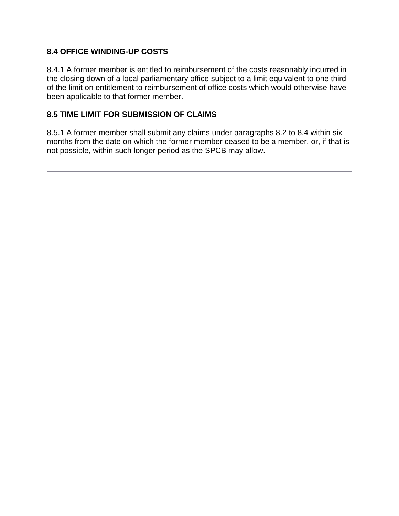## <span id="page-24-0"></span>**8.4 OFFICE WINDING-UP COSTS**

8.4.1 A former member is entitled to reimbursement of the costs reasonably incurred in the closing down of a local parliamentary office subject to a limit equivalent to one third of the limit on entitlement to reimbursement of office costs which would otherwise have been applicable to that former member.

## <span id="page-24-1"></span>**8.5 TIME LIMIT FOR SUBMISSION OF CLAIMS**

<span id="page-24-2"></span>8.5.1 A former member shall submit any claims under paragraphs 8.2 to 8.4 within six months from the date on which the former member ceased to be a member, or, if that is not possible, within such longer period as the SPCB may allow.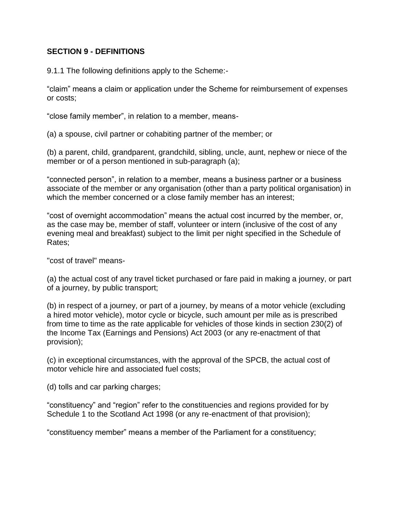#### **SECTION 9 - DEFINITIONS**

9.1.1 The following definitions apply to the Scheme:-

"claim" means a claim or application under the Scheme for reimbursement of expenses or costs;

"close family member", in relation to a member, means-

(a) a spouse, civil partner or cohabiting partner of the member; or

(b) a parent, child, grandparent, grandchild, sibling, uncle, aunt, nephew or niece of the member or of a person mentioned in sub-paragraph (a);

"connected person", in relation to a member, means a business partner or a business associate of the member or any organisation (other than a party political organisation) in which the member concerned or a close family member has an interest;

"cost of overnight accommodation" means the actual cost incurred by the member, or, as the case may be, member of staff, volunteer or intern (inclusive of the cost of any evening meal and breakfast) subject to the limit per night specified in the Schedule of Rates;

"cost of travel" means-

(a) the actual cost of any travel ticket purchased or fare paid in making a journey, or part of a journey, by public transport;

(b) in respect of a journey, or part of a journey, by means of a motor vehicle (excluding a hired motor vehicle), motor cycle or bicycle, such amount per mile as is prescribed from time to time as the rate applicable for vehicles of those kinds in section 230(2) of the Income Tax (Earnings and Pensions) Act 2003 (or any re-enactment of that provision);

(c) in exceptional circumstances, with the approval of the SPCB, the actual cost of motor vehicle hire and associated fuel costs;

(d) tolls and car parking charges;

"constituency" and "region" refer to the constituencies and regions provided for by Schedule 1 to the Scotland Act 1998 (or any re-enactment of that provision);

"constituency member" means a member of the Parliament for a constituency;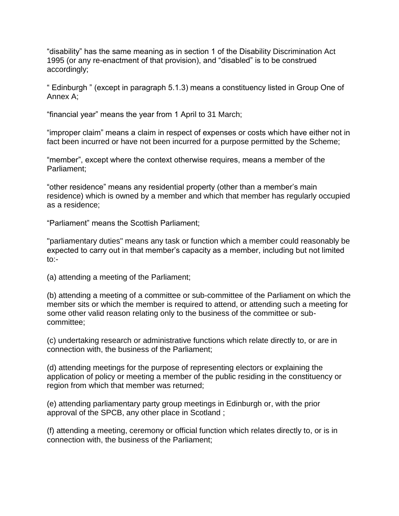"disability" has the same meaning as in section 1 of the Disability Discrimination Act 1995 (or any re-enactment of that provision), and "disabled" is to be construed accordingly;

" Edinburgh " (except in paragraph 5.1.3) means a constituency listed in Group One of Annex A;

"financial year" means the year from 1 April to 31 March;

"improper claim" means a claim in respect of expenses or costs which have either not in fact been incurred or have not been incurred for a purpose permitted by the Scheme;

"member", except where the context otherwise requires, means a member of the Parliament;

"other residence" means any residential property (other than a member's main residence) which is owned by a member and which that member has regularly occupied as a residence;

"Parliament" means the Scottish Parliament;

"parliamentary duties" means any task or function which a member could reasonably be expected to carry out in that member's capacity as a member, including but not limited to:-

(a) attending a meeting of the Parliament;

(b) attending a meeting of a committee or sub-committee of the Parliament on which the member sits or which the member is required to attend, or attending such a meeting for some other valid reason relating only to the business of the committee or subcommittee;

(c) undertaking research or administrative functions which relate directly to, or are in connection with, the business of the Parliament;

(d) attending meetings for the purpose of representing electors or explaining the application of policy or meeting a member of the public residing in the constituency or region from which that member was returned;

(e) attending parliamentary party group meetings in Edinburgh or, with the prior approval of the SPCB, any other place in Scotland ;

(f) attending a meeting, ceremony or official function which relates directly to, or is in connection with, the business of the Parliament;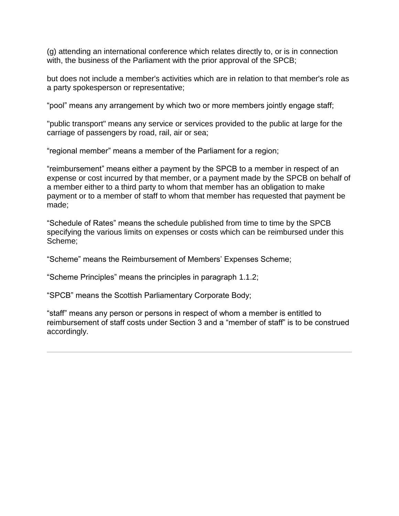(g) attending an international conference which relates directly to, or is in connection with, the business of the Parliament with the prior approval of the SPCB;

but does not include a member's activities which are in relation to that member's role as a party spokesperson or representative;

"pool" means any arrangement by which two or more members jointly engage staff;

"public transport" means any service or services provided to the public at large for the carriage of passengers by road, rail, air or sea;

"regional member" means a member of the Parliament for a region;

"reimbursement" means either a payment by the SPCB to a member in respect of an expense or cost incurred by that member, or a payment made by the SPCB on behalf of a member either to a third party to whom that member has an obligation to make payment or to a member of staff to whom that member has requested that payment be made;

"Schedule of Rates" means the schedule published from time to time by the SPCB specifying the various limits on expenses or costs which can be reimbursed under this Scheme;

"Scheme" means the Reimbursement of Members' Expenses Scheme;

"Scheme Principles" means the principles in paragraph 1.1.2;

"SPCB" means the Scottish Parliamentary Corporate Body;

<span id="page-27-0"></span>"staff" means any person or persons in respect of whom a member is entitled to reimbursement of staff costs under Section 3 and a "member of staff" is to be construed accordingly.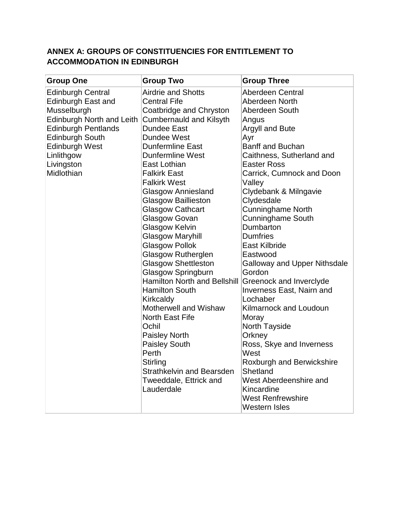# **ANNEX A: GROUPS OF CONSTITUENCIES FOR ENTITLEMENT TO ACCOMMODATION IN EDINBURGH**

<span id="page-28-0"></span>

| <b>Group One</b>           | <b>Group Two</b>               | <b>Group Three</b>                  |  |
|----------------------------|--------------------------------|-------------------------------------|--|
| <b>Edinburgh Central</b>   | <b>Airdrie and Shotts</b>      | Aberdeen Central                    |  |
| <b>Edinburgh East and</b>  | <b>Central Fife</b>            | Aberdeen North                      |  |
| Musselburgh                | Coatbridge and Chryston        | Aberdeen South                      |  |
| Edinburgh North and Leith  | <b>Cumbernauld and Kilsyth</b> | Angus                               |  |
| <b>Edinburgh Pentlands</b> | Dundee East                    | <b>Argyll and Bute</b>              |  |
| <b>Edinburgh South</b>     | Dundee West                    | Ayr                                 |  |
| <b>Edinburgh West</b>      | <b>Dunfermline East</b>        | <b>Banff and Buchan</b>             |  |
| Linlithgow                 | <b>Dunfermline West</b>        | Caithness, Sutherland and           |  |
| Livingston                 | East Lothian                   | <b>Easter Ross</b>                  |  |
| Midlothian                 | <b>Falkirk East</b>            | Carrick, Cumnock and Doon           |  |
|                            | <b>Falkirk West</b>            | Valley                              |  |
|                            | <b>Glasgow Anniesland</b>      | Clydebank & Milngavie               |  |
|                            | <b>Glasgow Baillieston</b>     | Clydesdale                          |  |
|                            | <b>Glasgow Cathcart</b>        | <b>Cunninghame North</b>            |  |
|                            | Glasgow Govan                  | <b>Cunninghame South</b>            |  |
|                            | <b>Glasgow Kelvin</b>          | Dumbarton                           |  |
|                            | <b>Glasgow Maryhill</b>        | <b>Dumfries</b>                     |  |
|                            | <b>Glasgow Pollok</b>          | <b>East Kilbride</b>                |  |
|                            | <b>Glasgow Rutherglen</b>      | Eastwood                            |  |
|                            | <b>Glasgow Shettleston</b>     | <b>Galloway and Upper Nithsdale</b> |  |
|                            | <b>Glasgow Springburn</b>      | Gordon                              |  |
|                            | Hamilton North and Bellshill   | Greenock and Inverclyde             |  |
|                            | <b>Hamilton South</b>          | <b>Inverness East, Nairn and</b>    |  |
|                            | Kirkcaldy                      | Lochaber                            |  |
|                            | Motherwell and Wishaw          | Kilmarnock and Loudoun              |  |
|                            | North East Fife                | Moray                               |  |
|                            | Ochil                          | <b>North Tayside</b>                |  |
|                            | <b>Paisley North</b>           | Orkney                              |  |
|                            | <b>Paisley South</b>           | Ross, Skye and Inverness            |  |
|                            | Perth                          | West                                |  |
|                            | <b>Stirling</b>                | Roxburgh and Berwickshire           |  |
|                            | Strathkelvin and Bearsden      | Shetland                            |  |
|                            | Tweeddale, Ettrick and         | West Aberdeenshire and              |  |
|                            | Lauderdale                     | Kincardine                          |  |
|                            |                                | <b>West Renfrewshire</b>            |  |
|                            |                                | Western Isles                       |  |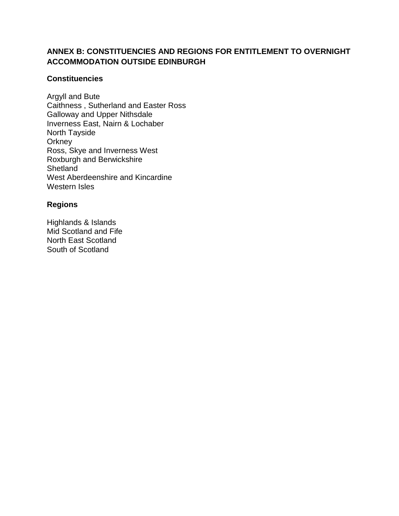## **ANNEX B: CONSTITUENCIES AND REGIONS FOR ENTITLEMENT TO OVERNIGHT ACCOMMODATION OUTSIDE EDINBURGH**

#### **Constituencies**

Argyll and Bute Caithness , Sutherland and Easter Ross Galloway and Upper Nithsdale Inverness East, Nairn & Lochaber North Tayside **Orkney** Ross, Skye and Inverness West Roxburgh and Berwickshire **Shetland** West Aberdeenshire and Kincardine Western Isles

#### **Regions**

<span id="page-29-0"></span>Highlands & Islands Mid Scotland and Fife North East Scotland South of Scotland